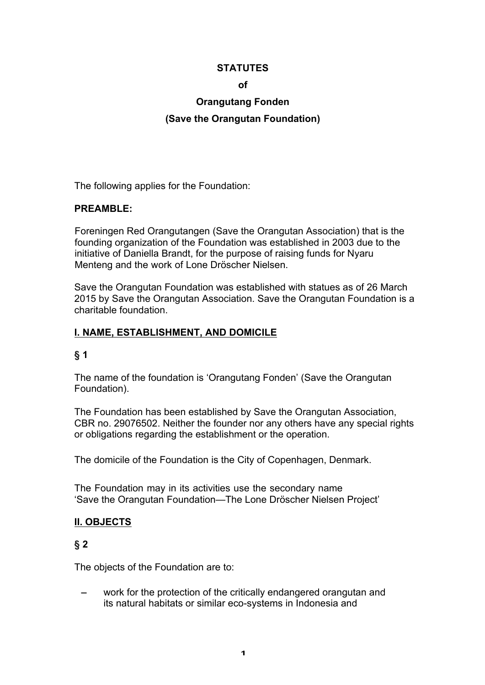#### **STATUTES**

#### **of**

# **Orangutang Fonden**

#### **(Save the Orangutan Foundation)**

The following applies for the Foundation:

#### **PREAMBLE:**

Foreningen Red Orangutangen (Save the Orangutan Association) that is the founding organization of the Foundation was established in 2003 due to the initiative of Daniella Brandt, for the purpose of raising funds for Nyaru Menteng and the work of Lone Dröscher Nielsen.

Save the Orangutan Foundation was established with statues as of 26 March 2015 by Save the Orangutan Association. Save the Orangutan Foundation is a charitable foundation.

#### **I. NAME, ESTABLISHMENT, AND DOMICILE**

#### **§ 1**

The name of the foundation is 'Orangutang Fonden' (Save the Orangutan Foundation).

The Foundation has been established by Save the Orangutan Association, CBR no. 29076502. Neither the founder nor any others have any special rights or obligations regarding the establishment or the operation.

The domicile of the Foundation is the City of Copenhagen, Denmark.

The Foundation may in its activities use the secondary name 'Save the Orangutan Foundation—The Lone Dröscher Nielsen Project'

### **II. OBJECTS**

### **§ 2**

The objects of the Foundation are to:

work for the protection of the critically endangered orangutan and its natural habitats or similar eco-systems in Indonesia and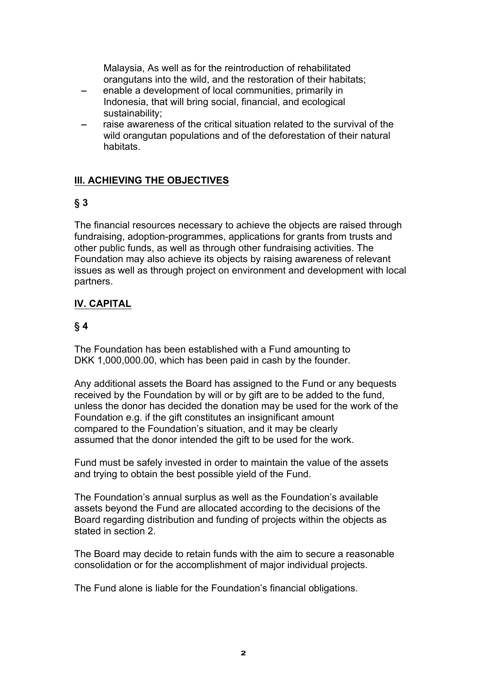Malaysia, As well as for the reintroduction of rehabilitated orangutans into the wild, and the restoration of their habitats;

- enable a development of local communities, primarily in Indonesia, that will bring social, financial, and ecological sustainability;
- raise awareness of the critical situation related to the survival of the wild orangutan populations and of the deforestation of their natural habitats.

# **III. ACHIEVING THE OBJECTIVES**

# **§ 3**

The financial resources necessary to achieve the objects are raised through fundraising, adoption-programmes, applications for grants from trusts and other public funds, as well as through other fundraising activities. The Foundation may also achieve its objects by raising awareness of relevant issues as well as through project on environment and development with local partners.

# **IV. CAPITAL**

# **§ 4**

The Foundation has been established with a Fund amounting to DKK 1,000,000.00, which has been paid in cash by the founder.

Any additional assets the Board has assigned to the Fund or any bequests received by the Foundation by will or by gift are to be added to the fund, unless the donor has decided the donation may be used for the work of the Foundation e.g. if the gift constitutes an insignificant amount compared to the Foundation's situation, and it may be clearly assumed that the donor intended the gift to be used for the work.

Fund must be safely invested in order to maintain the value of the assets and trying to obtain the best possible yield of the Fund.

The Foundation's annual surplus as well as the Foundation's available assets beyond the Fund are allocated according to the decisions of the Board regarding distribution and funding of projects within the objects as stated in section 2.

The Board may decide to retain funds with the aim to secure a reasonable consolidation or for the accomplishment of major individual projects.

The Fund alone is liable for the Foundation's financial obligations.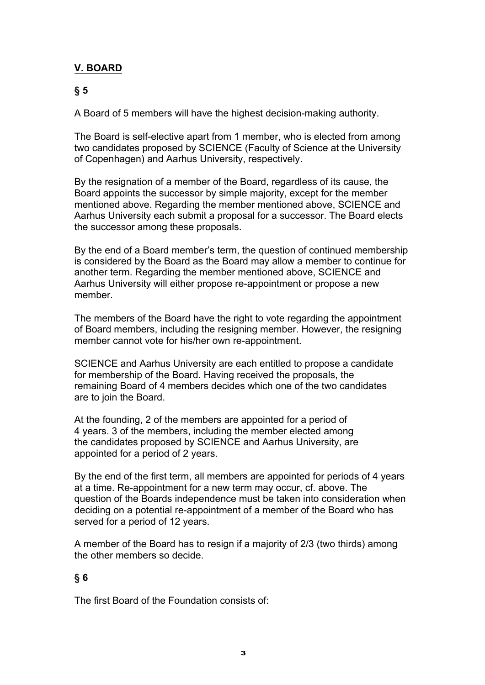### **V. BOARD**

### **§ 5**

A Board of 5 members will have the highest decision-making authority.

The Board is self-elective apart from 1 member, who is elected from among two candidates proposed by SCIENCE (Faculty of Science at the University of Copenhagen) and Aarhus University, respectively.

By the resignation of a member of the Board, regardless of its cause, the Board appoints the successor by simple majority, except for the member mentioned above. Regarding the member mentioned above, SCIENCE and Aarhus University each submit a proposal for a successor. The Board elects the successor among these proposals.

By the end of a Board member's term, the question of continued membership is considered by the Board as the Board may allow a member to continue for another term. Regarding the member mentioned above, SCIENCE and Aarhus University will either propose re-appointment or propose a new member.

The members of the Board have the right to vote regarding the appointment of Board members, including the resigning member. However, the resigning member cannot vote for his/her own re-appointment.

SCIENCE and Aarhus University are each entitled to propose a candidate for membership of the Board. Having received the proposals, the remaining Board of 4 members decides which one of the two candidates are to join the Board.

At the founding, 2 of the members are appointed for a period of 4 years. 3 of the members, including the member elected among the candidates proposed by SCIENCE and Aarhus University, are appointed for a period of 2 years.

By the end of the first term, all members are appointed for periods of 4 years at a time. Re-appointment for a new term may occur, cf. above. The question of the Boards independence must be taken into consideration when deciding on a potential re-appointment of a member of the Board who has served for a period of 12 years.

A member of the Board has to resign if a majority of 2/3 (two thirds) among the other members so decide.

### **§ 6**

The first Board of the Foundation consists of: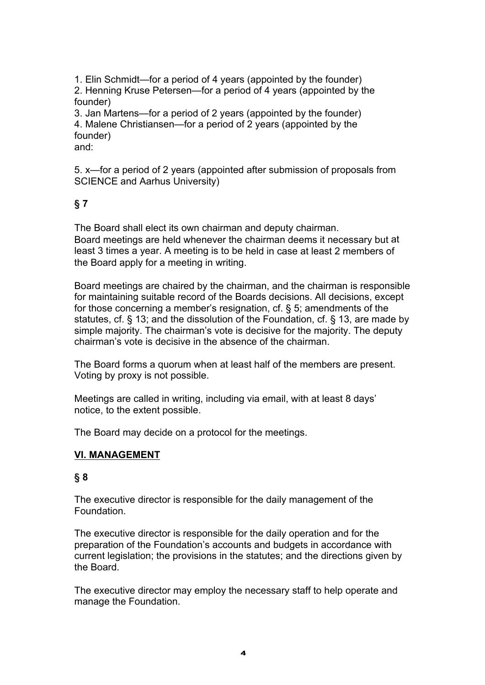1. Elin Schmidt—for a period of 4 years (appointed by the founder) 2. Henning Kruse Petersen—for a period of 4 years (appointed by the founder)

3. Jan Martens—for a period of 2 years (appointed by the founder) 4. Malene Christiansen—for a period of 2 years (appointed by the founder) and:

5. x—for a period of 2 years (appointed after submission of proposals from SCIENCE and Aarhus University)

# **§ 7**

The Board shall elect its own chairman and deputy chairman. Board meetings are held whenever the chairman deems it necessary but at least 3 times a year. A meeting is to be held in case at least 2 members of the Board apply for a meeting in writing.

Board meetings are chaired by the chairman, and the chairman is responsible for maintaining suitable record of the Boards decisions. All decisions, except for those concerning a member's resignation, cf. § 5; amendments of the statutes, cf. § 13; and the dissolution of the Foundation, cf. § 13, are made by simple majority. The chairman's vote is decisive for the majority. The deputy chairman's vote is decisive in the absence of the chairman.

The Board forms a quorum when at least half of the members are present. Voting by proxy is not possible.

Meetings are called in writing, including via email, with at least 8 days' notice, to the extent possible.

The Board may decide on a protocol for the meetings.

### **VI. MANAGEMENT**

# **§ 8**

The executive director is responsible for the daily management of the Foundation.

The executive director is responsible for the daily operation and for the preparation of the Foundation's accounts and budgets in accordance with current legislation; the provisions in the statutes; and the directions given by the Board.

The executive director may employ the necessary staff to help operate and manage the Foundation.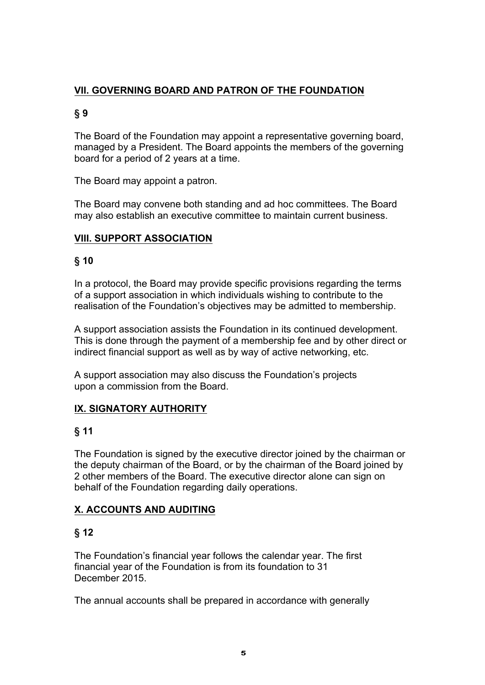# **VII. GOVERNING BOARD AND PATRON OF THE FOUNDATION**

# **§ 9**

The Board of the Foundation may appoint a representative governing board, managed by a President. The Board appoints the members of the governing board for a period of 2 years at a time.

The Board may appoint a patron.

The Board may convene both standing and ad hoc committees. The Board may also establish an executive committee to maintain current business.

# **VIII. SUPPORT ASSOCIATION**

# **§ 10**

In a protocol, the Board may provide specific provisions regarding the terms of a support association in which individuals wishing to contribute to the realisation of the Foundation's objectives may be admitted to membership.

A support association assists the Foundation in its continued development. This is done through the payment of a membership fee and by other direct or indirect financial support as well as by way of active networking, etc.

A support association may also discuss the Foundation's projects upon a commission from the Board.

# **IX. SIGNATORY AUTHORITY**

# **§ 11**

The Foundation is signed by the executive director joined by the chairman or the deputy chairman of the Board, or by the chairman of the Board joined by 2 other members of the Board. The executive director alone can sign on behalf of the Foundation regarding daily operations.

# **X. ACCOUNTS AND AUDITING**

# **§ 12**

The Foundation's financial year follows the calendar year. The first financial year of the Foundation is from its foundation to 31 December 2015.

The annual accounts shall be prepared in accordance with generally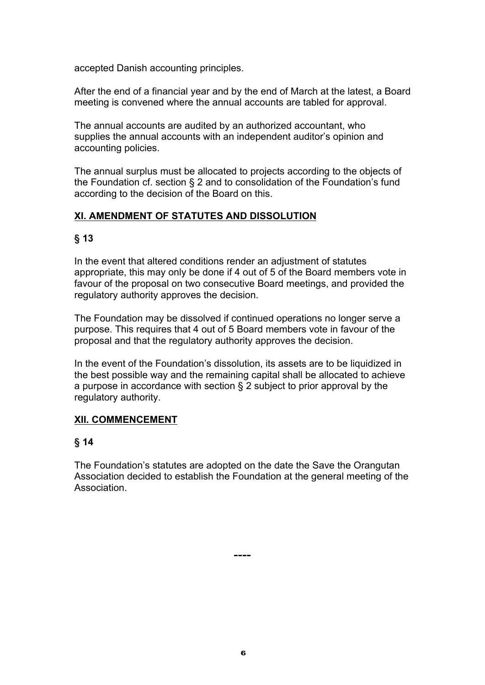accepted Danish accounting principles.

After the end of a financial year and by the end of March at the latest, a Board meeting is convened where the annual accounts are tabled for approval.

The annual accounts are audited by an authorized accountant, who supplies the annual accounts with an independent auditor's opinion and accounting policies.

The annual surplus must be allocated to projects according to the objects of the Foundation cf. section § 2 and to consolidation of the Foundation's fund according to the decision of the Board on this.

### **XI. AMENDMENT OF STATUTES AND DISSOLUTION**

# **§ 13**

In the event that altered conditions render an adjustment of statutes appropriate, this may only be done if 4 out of 5 of the Board members vote in favour of the proposal on two consecutive Board meetings, and provided the regulatory authority approves the decision.

The Foundation may be dissolved if continued operations no longer serve a purpose. This requires that 4 out of 5 Board members vote in favour of the proposal and that the regulatory authority approves the decision.

In the event of the Foundation's dissolution, its assets are to be liquidized in the best possible way and the remaining capital shall be allocated to achieve a purpose in accordance with section § 2 subject to prior approval by the regulatory authority.

### **XII. COMMENCEMENT**

# **§ 14**

The Foundation's statutes are adopted on the date the Save the Orangutan Association decided to establish the Foundation at the general meeting of the **Association** 

**----**